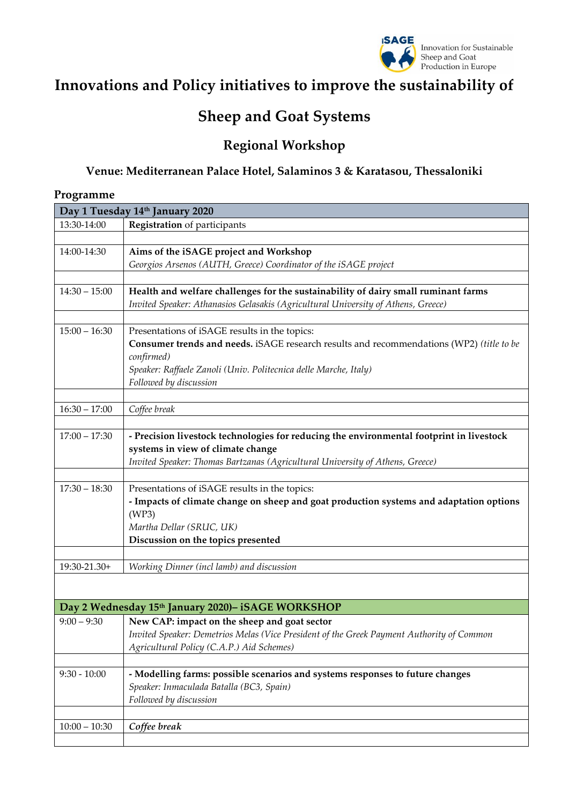

# **Innovations and Policy initiatives to improve the sustainability of**

# **Sheep and Goat Systems**

## **Regional Workshop**

### **Venue: Mediterranean Palace Hotel, Salaminos 3 & Karatasou, Thessaloniki**

#### **Programme**

|                 | Day 1 Tuesday 14th January 2020                                                           |
|-----------------|-------------------------------------------------------------------------------------------|
| 13:30-14:00     | Registration of participants                                                              |
|                 |                                                                                           |
| 14:00-14:30     | Aims of the iSAGE project and Workshop                                                    |
|                 | Georgios Arsenos (AUTH, Greece) Coordinator of the iSAGE project                          |
|                 |                                                                                           |
| $14:30 - 15:00$ | Health and welfare challenges for the sustainability of dairy small ruminant farms        |
|                 | Invited Speaker: Athanasios Gelasakis (Agricultural University of Athens, Greece)         |
|                 |                                                                                           |
| $15:00 - 16:30$ | Presentations of iSAGE results in the topics:                                             |
|                 | Consumer trends and needs. iSAGE research results and recommendations (WP2) (title to be  |
|                 | confirmed)                                                                                |
|                 | Speaker: Raffaele Zanoli (Univ. Politecnica delle Marche, Italy)                          |
|                 | Followed by discussion                                                                    |
|                 |                                                                                           |
| $16:30 - 17:00$ | Coffee break                                                                              |
|                 |                                                                                           |
| $17:00 - 17:30$ | - Precision livestock technologies for reducing the environmental footprint in livestock  |
|                 | systems in view of climate change                                                         |
|                 | Invited Speaker: Thomas Bartzanas (Agricultural University of Athens, Greece)             |
|                 |                                                                                           |
| $17:30 - 18:30$ | Presentations of iSAGE results in the topics:                                             |
|                 | - Impacts of climate change on sheep and goat production systems and adaptation options   |
|                 | (WP3)<br>Martha Dellar (SRUC, UK)                                                         |
|                 | Discussion on the topics presented                                                        |
|                 |                                                                                           |
| 19:30-21.30+    | Working Dinner (incl lamb) and discussion                                                 |
|                 |                                                                                           |
|                 |                                                                                           |
|                 | Day 2 Wednesday 15th January 2020)- iSAGE WORKSHOP                                        |
| $9:00 - 9:30$   | New CAP: impact on the sheep and goat sector                                              |
|                 | Invited Speaker: Demetrios Melas (Vice President of the Greek Payment Authority of Common |
|                 | Agricultural Policy (C.A.P.) Aid Schemes)                                                 |
|                 |                                                                                           |
| $9:30 - 10:00$  | - Modelling farms: possible scenarios and systems responses to future changes             |
|                 | Speaker: Inmaculada Batalla (BC3, Spain)                                                  |
|                 | Followed by discussion                                                                    |
|                 |                                                                                           |
| $10:00 - 10:30$ | Coffee break                                                                              |
|                 |                                                                                           |